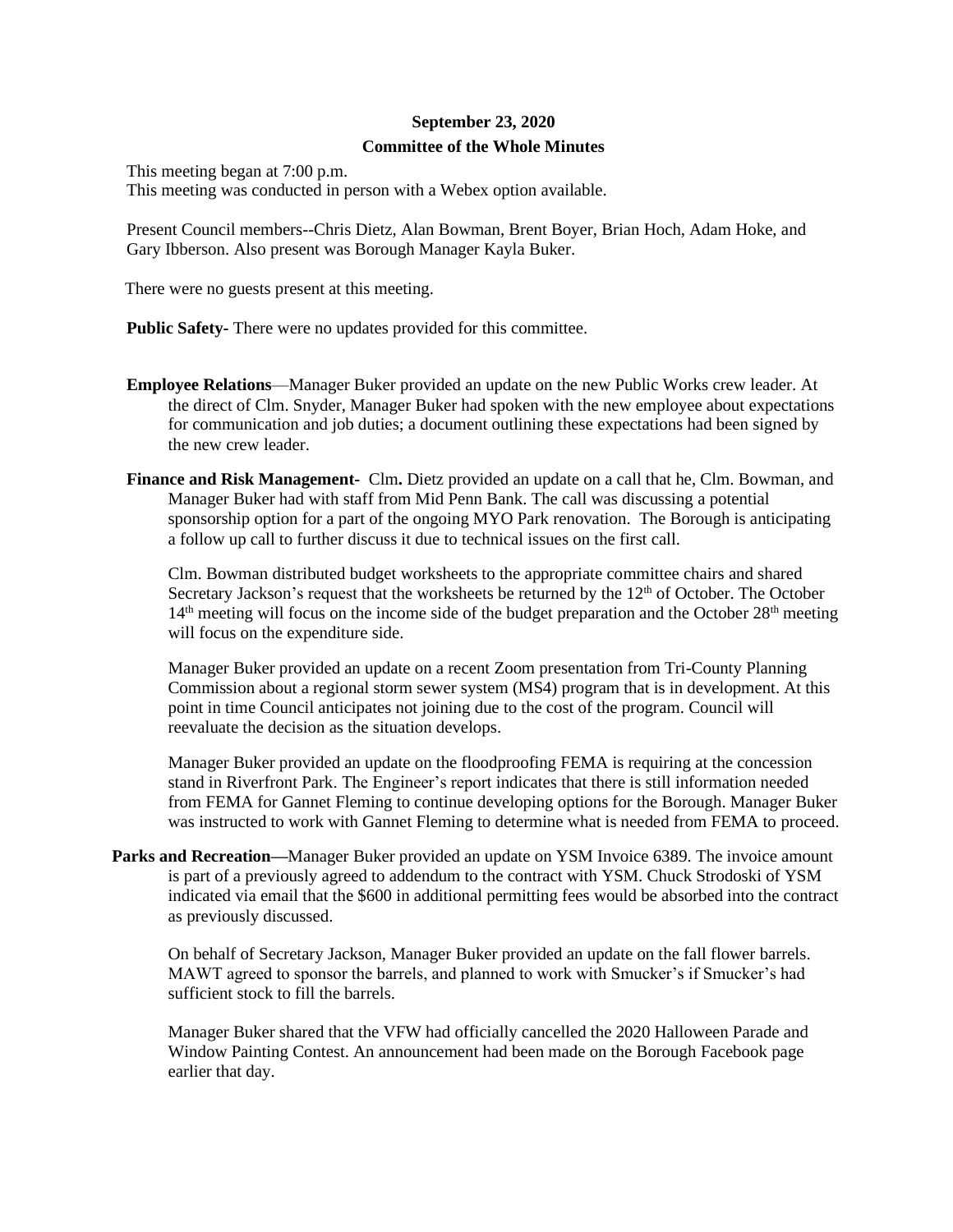## **September 23, 2020 Committee of the Whole Minutes**

This meeting began at 7:00 p.m.

This meeting was conducted in person with a Webex option available.

Present Council members--Chris Dietz, Alan Bowman, Brent Boyer, Brian Hoch, Adam Hoke, and Gary Ibberson. Also present was Borough Manager Kayla Buker.

There were no guests present at this meeting.

**Public Safety-** There were no updates provided for this committee.

- **Employee Relations**—Manager Buker provided an update on the new Public Works crew leader. At the direct of Clm. Snyder, Manager Buker had spoken with the new employee about expectations for communication and job duties; a document outlining these expectations had been signed by the new crew leader.
- **Finance and Risk Management-** Clm**.** Dietz provided an update on a call that he, Clm. Bowman, and Manager Buker had with staff from Mid Penn Bank. The call was discussing a potential sponsorship option for a part of the ongoing MYO Park renovation. The Borough is anticipating a follow up call to further discuss it due to technical issues on the first call.

Clm. Bowman distributed budget worksheets to the appropriate committee chairs and shared Secretary Jackson's request that the worksheets be returned by the 12<sup>th</sup> of October. The October 14<sup>th</sup> meeting will focus on the income side of the budget preparation and the October 28<sup>th</sup> meeting will focus on the expenditure side.

Manager Buker provided an update on a recent Zoom presentation from Tri-County Planning Commission about a regional storm sewer system (MS4) program that is in development. At this point in time Council anticipates not joining due to the cost of the program. Council will reevaluate the decision as the situation develops.

Manager Buker provided an update on the floodproofing FEMA is requiring at the concession stand in Riverfront Park. The Engineer's report indicates that there is still information needed from FEMA for Gannet Fleming to continue developing options for the Borough. Manager Buker was instructed to work with Gannet Fleming to determine what is needed from FEMA to proceed.

**Parks and Recreation—**Manager Buker provided an update on YSM Invoice 6389. The invoice amount is part of a previously agreed to addendum to the contract with YSM. Chuck Strodoski of YSM indicated via email that the \$600 in additional permitting fees would be absorbed into the contract as previously discussed.

On behalf of Secretary Jackson, Manager Buker provided an update on the fall flower barrels. MAWT agreed to sponsor the barrels, and planned to work with Smucker's if Smucker's had sufficient stock to fill the barrels.

Manager Buker shared that the VFW had officially cancelled the 2020 Halloween Parade and Window Painting Contest. An announcement had been made on the Borough Facebook page earlier that day.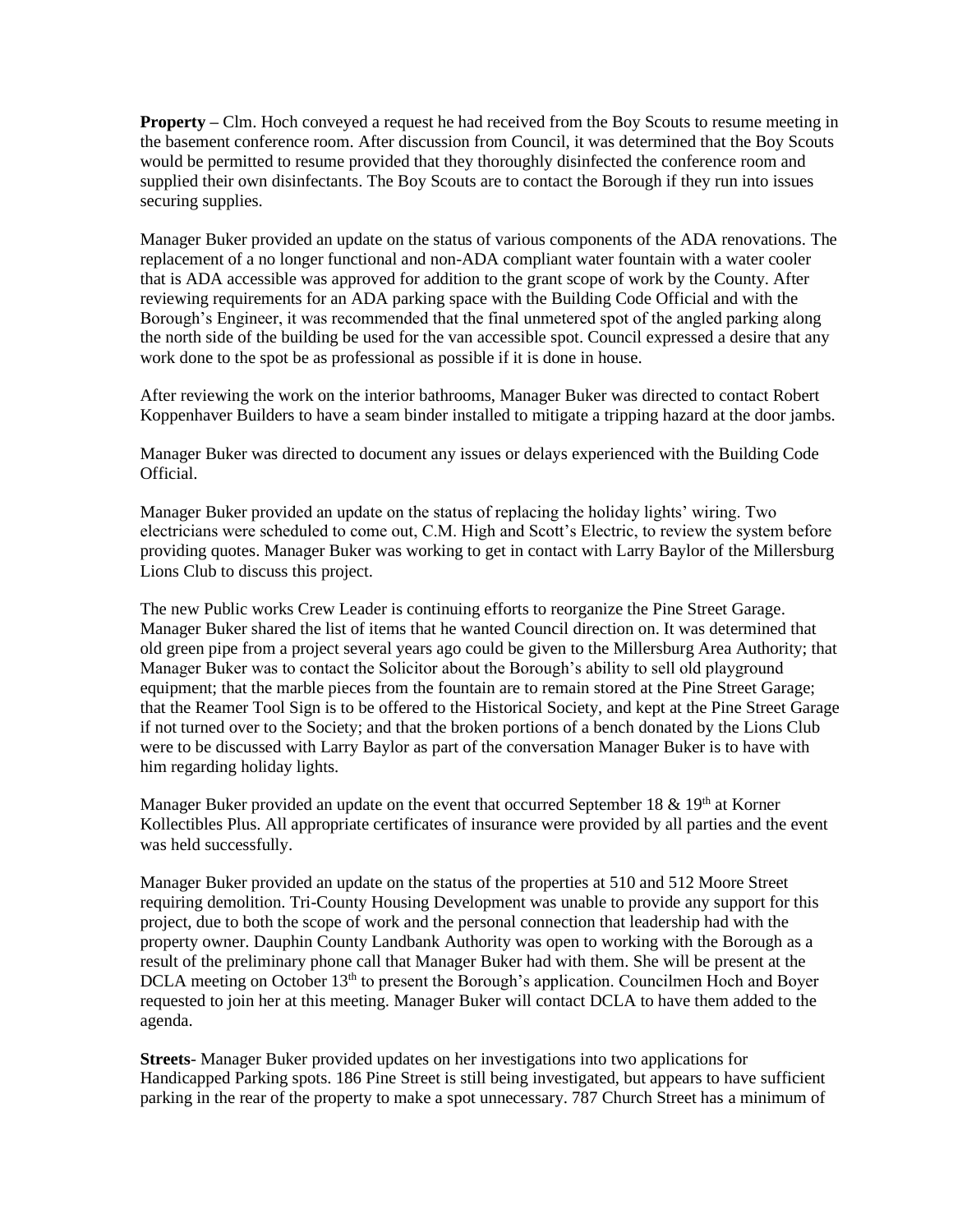**Property –** Clm. Hoch conveyed a request he had received from the Boy Scouts to resume meeting in the basement conference room. After discussion from Council, it was determined that the Boy Scouts would be permitted to resume provided that they thoroughly disinfected the conference room and supplied their own disinfectants. The Boy Scouts are to contact the Borough if they run into issues securing supplies.

Manager Buker provided an update on the status of various components of the ADA renovations. The replacement of a no longer functional and non-ADA compliant water fountain with a water cooler that is ADA accessible was approved for addition to the grant scope of work by the County. After reviewing requirements for an ADA parking space with the Building Code Official and with the Borough's Engineer, it was recommended that the final unmetered spot of the angled parking along the north side of the building be used for the van accessible spot. Council expressed a desire that any work done to the spot be as professional as possible if it is done in house.

After reviewing the work on the interior bathrooms, Manager Buker was directed to contact Robert Koppenhaver Builders to have a seam binder installed to mitigate a tripping hazard at the door jambs.

Manager Buker was directed to document any issues or delays experienced with the Building Code Official.

Manager Buker provided an update on the status of replacing the holiday lights' wiring. Two electricians were scheduled to come out, C.M. High and Scott's Electric, to review the system before providing quotes. Manager Buker was working to get in contact with Larry Baylor of the Millersburg Lions Club to discuss this project.

The new Public works Crew Leader is continuing efforts to reorganize the Pine Street Garage. Manager Buker shared the list of items that he wanted Council direction on. It was determined that old green pipe from a project several years ago could be given to the Millersburg Area Authority; that Manager Buker was to contact the Solicitor about the Borough's ability to sell old playground equipment; that the marble pieces from the fountain are to remain stored at the Pine Street Garage; that the Reamer Tool Sign is to be offered to the Historical Society, and kept at the Pine Street Garage if not turned over to the Society; and that the broken portions of a bench donated by the Lions Club were to be discussed with Larry Baylor as part of the conversation Manager Buker is to have with him regarding holiday lights.

Manager Buker provided an update on the event that occurred September 18  $\&$  19<sup>th</sup> at Korner Kollectibles Plus. All appropriate certificates of insurance were provided by all parties and the event was held successfully.

Manager Buker provided an update on the status of the properties at 510 and 512 Moore Street requiring demolition. Tri-County Housing Development was unable to provide any support for this project, due to both the scope of work and the personal connection that leadership had with the property owner. Dauphin County Landbank Authority was open to working with the Borough as a result of the preliminary phone call that Manager Buker had with them. She will be present at the DCLA meeting on October 13<sup>th</sup> to present the Borough's application. Councilmen Hoch and Boyer requested to join her at this meeting. Manager Buker will contact DCLA to have them added to the agenda.

**Streets**- Manager Buker provided updates on her investigations into two applications for Handicapped Parking spots. 186 Pine Street is still being investigated, but appears to have sufficient parking in the rear of the property to make a spot unnecessary. 787 Church Street has a minimum of